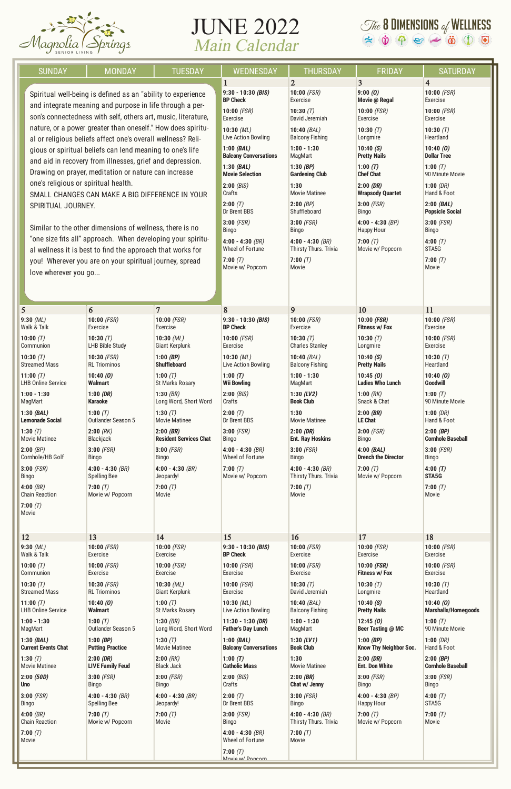

## JUNE 2022 Main Calendar

## $\mathcal{I}$  & DIMENSIONS of WELLNESS<br>  $\Leftrightarrow$   $\dot{\mathbf{\Phi}}$   $\Leftrightarrow$   $\ddot{\mathbf{\Phi}}$   $\mathbf{\ddot{\Phi}}$   $\ddot{\mathbf{\Phi}}$   $\ddot{\mathbf{\Phi}}$   $\ddot{\mathbf{\Phi}}$

| <b>SUNDAY</b>                                                                                                             | <b>MONDAY</b>                                                                                                            | <b>TUESDAY</b>                | <b>WEDNESDAY</b>                     | <b>THURSDAY</b>                             | <b>FRIDAY</b>                  | <b>SATURDAY</b>                 |
|---------------------------------------------------------------------------------------------------------------------------|--------------------------------------------------------------------------------------------------------------------------|-------------------------------|--------------------------------------|---------------------------------------------|--------------------------------|---------------------------------|
|                                                                                                                           |                                                                                                                          |                               | $\mathbf{1}$<br>$9:30 - 10:30$ (BIS) | $\overline{2}$<br>$10:00$ (FSR)             | 3<br>9:00(0)                   | $\overline{4}$<br>10:00 $(FSR)$ |
|                                                                                                                           | Spiritual well-being is defined as an "ability to experience<br>and integrate meaning and purpose in life through a per- |                               |                                      | Exercise                                    | Movie @ Regal                  | Exercise                        |
| son's connectedness with self, others art, music, literature,                                                             |                                                                                                                          |                               | $10:00$ (FSR)                        | 10:30 $(T)$                                 | $10:00$ (FSR)                  | $10:00$ (FSR)                   |
|                                                                                                                           |                                                                                                                          |                               | Exercise                             | David Jeremiah                              | Exercise                       | Exercise                        |
| nature, or a power greater than oneself." How does spiritu-                                                               |                                                                                                                          |                               | $10:30$ (ML)                         | 10:40 $(BAL)$                               | 10:30 $(T)$                    | 10:30 $(T)$                     |
|                                                                                                                           |                                                                                                                          |                               | Live Action Bowling                  | <b>Balcony Fishing</b>                      | Longmire                       | Heartland                       |
| al or religious beliefs affect one's overall wellness? Reli-<br>gious or spiritual beliefs can lend meaning to one's life |                                                                                                                          |                               | $1:00$ (BAL)                         | $1:00 - 1:30$                               | 10:40(S)                       | 10:40(0)                        |
| and aid in recovery from illnesses, grief and depression.                                                                 |                                                                                                                          |                               | <b>Balcony Conversations</b>         | MagMart                                     | <b>Pretty Nails</b>            | <b>Dollar Tree</b>              |
|                                                                                                                           |                                                                                                                          |                               | 1:30(BAL)                            | 1:30 $(BP)$                                 | 1:00 $(T)$                     | 1:00 $(T)$                      |
| Drawing on prayer, meditation or nature can increase                                                                      |                                                                                                                          |                               | <b>Movie Selection</b>               | <b>Gardening Club</b>                       | <b>Chef Chat</b>               | 90 Minute Movie                 |
| one's religious or spiritual health.                                                                                      |                                                                                                                          |                               | 2:00(BIS)                            | 1:30                                        | 2:00(DR)                       | 1:00(DR)                        |
| SMALL CHANGES CAN MAKE A BIG DIFFERENCE IN YOUR                                                                           |                                                                                                                          |                               | Crafts                               | <b>Movie Matinee</b>                        | <b>Wrapsody Quartet</b>        | Hand & Foot                     |
| SPIRITUAL JOURNEY.                                                                                                        |                                                                                                                          |                               | 2:00(T)                              | $2:00$ (BP)                                 | $3:00$ (FSR)                   | 2:00(BAL)                       |
|                                                                                                                           |                                                                                                                          |                               | Dr Brent BBS                         | Shuffleboard                                | <b>Bingo</b>                   | <b>Popsicle Social</b>          |
| Similar to the other dimensions of wellness, there is no                                                                  |                                                                                                                          |                               | $3:00$ (FSR)                         | $3:00$ (FSR)                                | $4:00 - 4:30$ (BP)             | $3:00$ (FSR)                    |
|                                                                                                                           |                                                                                                                          |                               | <b>Bingo</b>                         | <b>Bingo</b>                                | <b>Happy Hour</b>              | Bingo                           |
| "one size fits all" approach. When developing your spiritu-                                                               |                                                                                                                          |                               | $4:00 - 4:30$ (BR)                   | $4:00 - 4:30$ (BR)                          | 7:00 $(T)$                     | 4:00 $(T)$                      |
|                                                                                                                           |                                                                                                                          |                               | Wheel of Fortune                     | Thirsty Thurs. Trivia                       | Movie w/ Popcorn               | STA <sub>5</sub> G              |
| al wellness it is best to find the approach that works for<br>you! Wherever you are on your spiritual journey, spread     |                                                                                                                          |                               | 7:00(T)                              | 7:00(T)                                     |                                | 7:00(T)                         |
| love wherever you go                                                                                                      |                                                                                                                          |                               | Movie w/ Popcorn                     | Movie                                       |                                | Movie                           |
|                                                                                                                           |                                                                                                                          |                               |                                      |                                             |                                |                                 |
| 5                                                                                                                         | 6                                                                                                                        | $\overline{7}$                | 8                                    | 9                                           | 10                             | <b>11</b>                       |
| $9:30$ (ML)                                                                                                               | $10:00$ (FSR)                                                                                                            | $10:00$ (FSR)                 | $9:30 - 10:30$ (BIS)                 | $10:00$ (FSR)                               | $10:00$ (FSR)                  | 10:00 $(FSR)$                   |
| Walk & Talk                                                                                                               | Exercise                                                                                                                 | Exercise                      | <b>BP Check</b>                      | Exercise                                    | <b>Fitness w/ Fox</b>          | Exercise                        |
| 10:00 $(T)$                                                                                                               | 10:30 $(T)$                                                                                                              | $10:30$ (ML)                  | $10:00$ (FSR)                        | 10:30 $(T)$                                 | 10:30 $(T)$                    | 10:00 $(FSR)$                   |
| Communion                                                                                                                 | <b>LHB Bible Study</b>                                                                                                   | <b>Giant Kerplunk</b>         | Exercise                             | <b>Charles Stanley</b>                      | Longmire                       | Exercise                        |
| 10:30 $(T)$                                                                                                               | $10:30$ (FSR)                                                                                                            | 1:00 (BP)                     | $10:30$ (ML)                         | $10:40$ (BAL)                               | 10:40(S)                       | 10:30 $(T)$                     |
| <b>Streamed Mass</b>                                                                                                      | <b>RL Triominos</b>                                                                                                      | <b>Shuffleboard</b>           | Live Action Bowling                  | <b>Balcony Fishing</b>                      | <b>Pretty Nails</b>            | Heartland                       |
| 11:00 $(T)$                                                                                                               | 10:40(0)                                                                                                                 | 1:00 $(T)$                    | 1:00 $(T)$                           | $1:00 - 1:30$                               | 10:45(0)                       | 10:40(0)                        |
| <b>LHB Online Service</b>                                                                                                 | <b>Walmart</b>                                                                                                           | <b>St Marks Rosary</b>        | <b>Wii Bowling</b>                   | MagMart                                     | <b>Ladies Who Lunch</b>        | <b>Goodwill</b>                 |
| $1:00 - 1:30$                                                                                                             | 1:00 $(DR)$                                                                                                              | $1:30$ (BR)                   | 2:00(BIS)                            | 1:30 $(LV2)$                                | 1:00 $(RK)$                    | 1:00 $(T)$                      |
| MagMart                                                                                                                   | <b>Karaoke</b>                                                                                                           | Long Word, Short Word         | Crafts                               | <b>Book Club</b>                            | Snack & Chat                   | 90 Minute Movie                 |
| 1:30(BAL)                                                                                                                 | 1:00 $(T)$                                                                                                               | 1:30 $(T)$                    | 2:00(T)                              | 1:30                                        | $2:00$ (BR)                    | 1:00(DR)                        |
| <b>Lemonade Social</b>                                                                                                    | Outlander Season 5                                                                                                       | <b>Movie Matinee</b>          | Dr Brent BBS                         | <b>Movie Matinee</b>                        | <b>LE Chat</b>                 | Hand & Foot                     |
| 1:30 $(T)$                                                                                                                | $2:00$ (RK)                                                                                                              | $2:00$ (BR)                   | $3:00$ (FSR)                         | 2:00(DR)                                    | $3:00$ (FSR)                   | $2:00$ (BP)                     |
| <b>Movie Matinee</b>                                                                                                      | Blackjack                                                                                                                | <b>Resident Services Chat</b> | <b>Bingo</b>                         | <b>Ent. Ray Hoskins</b>                     | <b>Bingo</b>                   | <b>Cornhole Baseball</b>        |
| $2:00$ (BP)                                                                                                               | $3:00$ (FSR)                                                                                                             | $3:00$ (FSR)                  | $4:00 - 4:30$ (BR)                   | $3:00$ (FSR)                                | $4:00$ (BAL)                   | $3:00$ (FSR)                    |
| Cornhole/HB Golf                                                                                                          | <b>Bingo</b>                                                                                                             | Bingo                         | Wheel of Fortune                     | <b>Bingo</b>                                | <b>Drench the Director</b>     | Bingo                           |
| $3:00$ (FSR)                                                                                                              | $4:00 - 4:30$ (BR)<br><b>Spelling Bee</b>                                                                                | $4:00 - 4:30$ (BR)            | 7:00 $(T)$<br>Movie w/ Popcorn       | $4:00 - 4:30$ (BR)<br>Thirsty Thurs. Trivia | 7:00 $(T)$<br>Movie w/ Popcorn | 4:00(T)<br>STA5G                |
| Bingo<br>4:00 $(BR)$                                                                                                      | 7:00 $(T)$                                                                                                               | Jeopardy!<br>7:00 $(T)$       |                                      | 7:00(T)                                     |                                | 7:00(T)                         |
| <b>Chain Reaction</b><br>7:00 $(T)$                                                                                       | Movie w/ Popcorn                                                                                                         | Movie                         |                                      | Movie                                       |                                | Movie                           |
| Movie                                                                                                                     |                                                                                                                          |                               |                                      |                                             |                                |                                 |
| 12                                                                                                                        | 13                                                                                                                       | 14                            | 15                                   | 16                                          | 17                             | 18                              |
| $9:30$ (ML)                                                                                                               | $10:00$ (FSR)                                                                                                            | $10:00$ (FSR)                 | $9:30 - 10:30$ (BIS)                 | $10:00$ (FSR)                               | $10:00$ (FSR)                  | 10:00 $(FSR)$                   |
| Walk & Talk                                                                                                               | <b>Exercise</b>                                                                                                          | Exercise                      | <b>BP Check</b>                      | Exercise                                    | Exercise                       | Exercise                        |
| 10:00 $(T)$                                                                                                               | $10:00$ (FSR)                                                                                                            | $10:00$ (FSR)                 | $10:00$ (FSR)                        | 10:00 $(FSR)$                               | $10:00$ (FSR)                  | 10:00 $(FSR)$                   |
| Communion                                                                                                                 | Exercise                                                                                                                 | Exercise                      | Exercise                             | Exercise                                    | <b>Fitness w/ Fox</b>          | Exercise                        |
| 10:30 $(T)$                                                                                                               | $10:30$ (FSR)                                                                                                            | $10:30$ (ML)                  | $10:00$ (FSR)                        | 10:30 $(T)$                                 | 10:30 $(T)$                    | 10:30 $(T)$                     |
| <b>Streamed Mass</b>                                                                                                      | <b>RL Triominos</b>                                                                                                      | Giant Kerplunk                | Exercise                             | David Jeremiah                              | Longmire                       | Heartland                       |
| 11:00 $(T)$                                                                                                               | 10:40(0)                                                                                                                 | 1:00 $(T)$                    | 10:30 $(ML)$                         | $10:40$ (BAL)                               | 10:40(S)                       | 10:40(0)                        |
| <b>LHB Online Service</b>                                                                                                 | <b>Walmart</b>                                                                                                           | <b>St Marks Rosary</b>        | Live Action Bowling                  | <b>Balcony Fishing</b>                      | <b>Pretty Nails</b>            | <b>Marshalls/Homegoods</b>      |
| $1:00 - 1:30$                                                                                                             | 1:00 $(T)$                                                                                                               | $1:30$ (BR)                   | $11:30 - 1:30$ (DR)                  | $1:00 - 1:30$                               | 12:45(0)                       | 1:00 $(T)$                      |
| MagMart                                                                                                                   | Outlander Season 5                                                                                                       | Long Word, Short Word         | <b>Father's Day Lunch</b>            | MagMart                                     | Beer Tasting @ MC              | 90 Minute Movie                 |
| 1:30(BAL)                                                                                                                 | $1:00$ (BP)                                                                                                              | 1:30 $(T)$                    | $1:00$ (BAL)                         | 1:30 $(LVI)$                                | 1:00 (BP)                      | 1:00 $(DR)$                     |
| <b>Current Events Chat</b>                                                                                                | <b>Putting Practice</b>                                                                                                  | <b>Movie Matinee</b>          | <b>Balcony Conversations</b>         | <b>Book Club</b>                            | <b>Know Thy Neighbor Soc.</b>  | Hand & Foot                     |
| 1:30 $(T)$                                                                                                                | 2:00(DR)                                                                                                                 | $2:00$ (RK)                   | 1:00 $(T)$                           | 1:30                                        | 2:00(DR)                       | $2:00$ (BP)                     |
| <b>Movie Matinee</b>                                                                                                      | <b>LIVE Family Feud</b>                                                                                                  | <b>Black Jack</b>             | <b>Catholic Mass</b>                 | <b>Movie Matinee</b>                        | <b>Ent. Don White</b>          | <b>Cornhole Baseball</b>        |
| 2:00(50D)                                                                                                                 | $3:00$ (FSR)                                                                                                             | $3:00$ (FSR)                  | 2:00(BIS)                            | $2:00$ (BR)                                 | $3:00$ (FSR)                   | $3:00$ (FSR)                    |
| <b>Uno</b>                                                                                                                | <b>Bingo</b>                                                                                                             | Bingo                         | Crafts                               | Chat w/ Jenny                               | <b>Bingo</b>                   | Bingo                           |
| $3:00$ (FSR)                                                                                                              | $4:00 - 4:30$ (BR)                                                                                                       | 4:00 - 4:30 $(BR)$            | 2:00(T)                              | $3:00$ (FSR)                                | $4:00 - 4:30$ (BP)             | 4:00 $(T)$                      |
| Bingo                                                                                                                     | <b>Spelling Bee</b>                                                                                                      | Jeopardy!                     | Dr Brent BBS                         | Bingo                                       | <b>Happy Hour</b>              | STA5G                           |
| 4:00 $(BR)$                                                                                                               | 7:00(T)                                                                                                                  | 7:00(T)                       | $3:00$ (FSR)                         | $4:00 - 4:30$ (BR)                          | 7:00 $(T)$                     | 7:00(T)                         |
| <b>Chain Reaction</b>                                                                                                     | Movie w/ Popcorn                                                                                                         | Movie                         | Bingo                                | Thirsty Thurs. Trivia                       | Movie w/ Popcorn               | Movie                           |
| 7:00 $(T)$                                                                                                                |                                                                                                                          |                               | $4:00 - 4:30$ (BR)                   | 7:00(T)                                     |                                |                                 |
| Movie                                                                                                                     |                                                                                                                          |                               | Wheel of Fortune<br>7:00 $(T)$       | Movie                                       |                                |                                 |
|                                                                                                                           |                                                                                                                          |                               | Movie w/ Poncorn                     |                                             |                                |                                 |